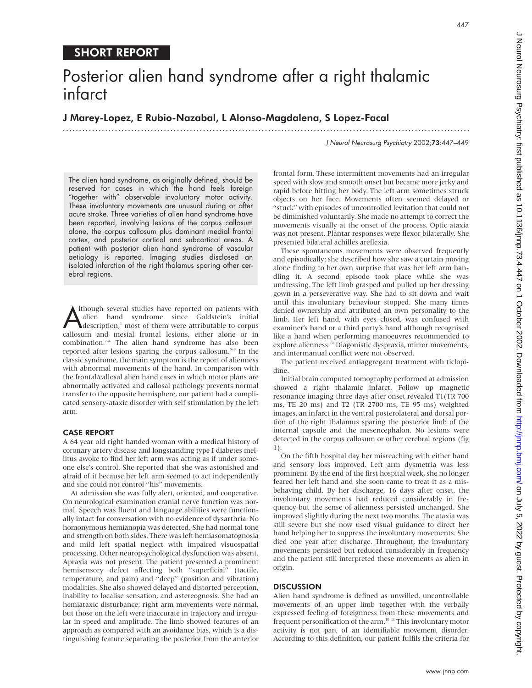# SHORT REPORT

# Posterior alien hand syndrome after a right thalamic infarct

J Marey-Lopez, E Rubio-Nazabal, L Alonso-Magdalena, S Lopez-Facal .............................................................................................................................

J Neurol Neurosurg Psychiatry 2002;73:447–449

The alien hand syndrome, as originally defined, should be reserved for cases in which the hand feels foreign "together with" observable involuntary motor activity. These involuntary movements are unusual during or after acute stroke. Three varieties of alien hand syndrome have been reported, involving lesions of the corpus callosum alone, the corpus callosum plus dominant medial frontal cortex, and posterior cortical and subcortical areas. A patient with posterior alien hand syndrome of vascular aetiology is reported. Imaging studies disclosed an isolated infarction of the right thalamus sparing other cerebral regions.

Although several studies have reported on patients with<br>alien hand syndrome since Goldstein's initial<br>description,<sup>1</sup> most of them were attributable to corpus<br>callosum and mesial frontal lesions, either alone or in lthough several studies have reported on patients with alien hand syndrome since Goldstein's initial  $d$ description, $1$  most of them were attributable to corpus combination.2–4 The alien hand syndrome has also been reported after lesions sparing the corpus callosum.5–9 In the classic syndrome, the main symptom is the report of alienness with abnormal movements of the hand. In comparison with the frontal/callosal alien hand cases in which motor plans are abnormally activated and callosal pathology prevents normal transfer to the opposite hemisphere, our patient had a complicated sensory-ataxic disorder with self stimulation by the left arm.

## CASE REPORT

A 64 year old right handed woman with a medical history of coronary artery disease and longstanding type I diabetes mellitus awoke to find her left arm was acting as if under someone else's control. She reported that she was astonished and afraid of it because her left arm seemed to act independently and she could not control "his" movements.

At admission she was fully alert, oriented, and cooperative. On neurological examination cranial nerve function was normal. Speech was fluent and language abilities were functionally intact for conversation with no evidence of dysarthria. No homonymous hemianopia was detected. She had normal tone and strength on both sides. There was left hemiasomatognosia and mild left spatial neglect with impaired visuospatial processing. Other neuropsychological dysfunction was absent. Apraxia was not present. The patient presented a prominent hemisensory defect affecting both "superficial" (tactile, temperature, and pain) and "deep" (position and vibration) modalities. She also showed delayed and distorted perception, inability to localise sensation, and astereognosis. She had an hemiataxic disturbance: right arm movements were normal, but those on the left were inaccurate in trajectory and irregular in speed and amplitude. The limb showed features of an approach as compared with an avoidance bias, which is a distinguishing feature separating the posterior from the anterior

frontal form. These intermittent movements had an irregular speed with slow and smooth onset but became more jerky and rapid before hitting her body. The left arm sometimes struck objects on her face. Movements often seemed delayed or "stuck" with episodes of uncontrolled levitation that could not be diminished voluntarily. She made no attempt to correct the movements visually at the onset of the process. Optic ataxia was not present. Plantar responses were flexor bilaterally. She presented bilateral achilles areflexia.

These spontaneous movements were observed frequently and episodically: she described how she saw a curtain moving alone finding to her own surprise that was her left arm handling it. A second episode took place while she was undressing. The left limb grasped and pulled up her dressing gown in a perseverative way. She had to sit down and wait until this involuntary behaviour stopped. She many times denied ownership and attributed an own personality to the limb. Her left hand, with eyes closed, was confused with examiner's hand or a third party's hand although recognised like a hand when performing manoeuvres recommended to explore alienness.<sup>10</sup> Diagonistic dyspraxia, mirror movements, and intermanual conflict were not observed.

The patient received antiaggregant treatment with ticlopidine.

Initial brain computed tomography performed at admission showed a right thalamic infarct. Follow up magnetic resonance imaging three days after onset revealed T1(TR 700 ms, TE 20 ms) and T2 (TR 2700 ms, TE 95 ms) weighted images, an infarct in the ventral posterolateral and dorsal portion of the right thalamus sparing the posterior limb of the internal capsule and the mesencephalon. No lesions were detected in the corpus callosum or other cerebral regions (fig 1).

On the fifth hospital day her misreaching with either hand and sensory loss improved. Left arm dysmetria was less prominent. By the end of the first hospital week, she no longer feared her left hand and she soon came to treat it as a misbehaving child. By her discharge, 16 days after onset, the involuntary movements had reduced considerably in frequency but the sense of alienness persisted unchanged. She improved slightly during the next two months. The ataxia was still severe but she now used visual guidance to direct her hand helping her to suppress the involuntary movements. She died one year after discharge. Throughout, the involuntary movements persisted but reduced considerably in frequency and the patient still interpreted these movements as alien in origin.

## **DISCUSSION**

Alien hand syndrome is defined as unwilled, uncontrollable movements of an upper limb together with the verbally expressed feeling of foreignness from these movements and frequent personification of the arm.<sup>10 11</sup> This involuntary motor activity is not part of an identifiable movement disorder. According to this definition, our patient fulfils the criteria for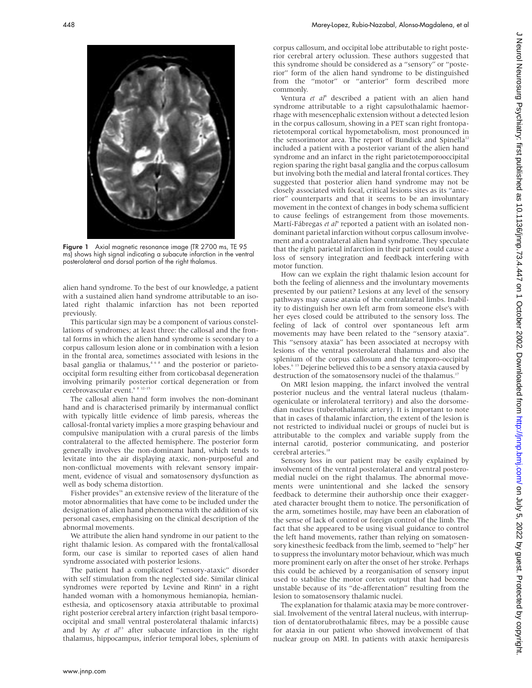

Figure 1 Axial magnetic resonance image (TR 2700 ms, TE 95) ms) shows high signal indicating a subacute infarction in the ventral posterolateral and dorsal portion of the right thalamus.

alien hand syndrome. To the best of our knowledge, a patient with a sustained alien hand syndrome attributable to an isolated right thalamic infarction has not been reported previously.

This particular sign may be a component of various constellations of syndromes; at least three: the callosal and the frontal forms in which the alien hand syndrome is secondary to a corpus callosum lesion alone or in combination with a lesion in the frontal area, sometimes associated with lesions in the basal ganglia or thalamus, $468$  and the posterior or parietooccipital form resulting either from corticobasal degeneration involving primarily posterior cortical degeneration or from cerebrovascular event.<sup>6 8 12-15</sup>

The callosal alien hand form involves the non-dominant hand and is characterised primarily by intermanual conflict with typically little evidence of limb paresis, whereas the callosal-frontal variety implies a more grasping behaviour and compulsive manipulation with a crural paresis of the limbs contralateral to the affected hemisphere. The posterior form generally involves the non-dominant hand, which tends to levitate into the air displaying ataxic, non-purposeful and non-conflictual movements with relevant sensory impairment, evidence of visual and somatosensory dysfunction as well as body schema distortion.

Fisher provides<sup>16</sup> an extensive review of the literature of the motor abnormalities that have come to be included under the designation of alien hand phenomena with the addition of six personal cases, emphasising on the clinical description of the abnormal movements.

We attribute the alien hand syndrome in our patient to the right thalamic lesion. As compared with the frontal/callosal form, our case is similar to reported cases of alien hand syndrome associated with posterior lesions.

The patient had a complicated "sensory-ataxic" disorder with self stimulation from the neglected side. Similar clinical syndromes were reported by Levine and Rinn<sup>6</sup> in a right handed woman with a homonymous hemianopia, hemianesthesia, and opticosensory ataxia attributable to proximal right posterior cerebral artery infarction (right basal temporooccipital and small ventral posterolateral thalamic infarcts) and by Ay *et al*<sup>13</sup> after subacute infarction in the right thalamus, hippocampus, inferior temporal lobes, splenium of

corpus callosum, and occipital lobe attributable to right posterior cerebral artery oclussion. These authors suggested that this syndrome should be considered as a "sensory" or "posterior" form of the alien hand syndrome to be distinguished from the "motor" or "anterior" form described more commonly.

Ventura *et al*<sup>8</sup> described a patient with an alien hand syndrome attributable to a right capsulothalamic haemorrhage with mesencephalic extension without a detected lesion in the corpus callosum, showing in a PET scan right frontoparietotemporal cortical hypometabolism, most pronounced in the sensorimotor area. The report of Bundick and Spinella<sup>12</sup> included a patient with a posterior variant of the alien hand syndrome and an infarct in the right parietotemporooccipital region sparing the right basal ganglia and the corpus callosum but involving both the medial and lateral frontal cortices. They suggested that posterior alien hand syndrome may not be closely associated with focal, critical lesions sites as its "anterior" counterparts and that it seems to be an involuntary movement in the context of changes in body schema sufficient to cause feelings of estrangement from those movements. Martí-Fábregas et al<sup>9</sup> reported a patient with an isolated nondominant parietal infarction without corpus callosum involvement and a contralateral alien hand syndrome. They speculate that the right parietal infarction in their patient could cause a loss of sensory integration and feedback interfering with motor function.

How can we explain the right thalamic lesion account for both the feeling of alienness and the involuntary movements presented by our patient? Lesions at any level of the sensory pathways may cause ataxia of the contralateral limbs. Inability to distinguish her own left arm from someone else's with her eyes closed could be attributed to the sensory loss. The feeling of lack of control over spontaneous left arm movements may have been related to the "sensory ataxia". This "sensory ataxia" has been associated at necropsy with lesions of the ventral posterolateral thalamus and also the splenium of the corpus callosum and the temporo-occipital lobes.<sup>613</sup> Dejerine believed this to be a sensory ataxia caused by destruction of the somatosensory nuclei of the thalamus.<sup>17</sup>

On MRI lesion mapping, the infarct involved the ventral posterior nucleus and the ventral lateral nucleus (thalamogeniculate or inferolateral territory) and also the dorsomedian nucleus (tuberothalamic artery). It is important to note that in cases of thalamic infarction, the extent of the lesion is not restricted to individual nuclei or groups of nuclei but is attributable to the complex and variable supply from the internal carotid, posterior communicating, and posterior cerebral arteries.<sup>18</sup>

Sensory loss in our patient may be easily explained by involvement of the ventral posterolateral and ventral posteromedial nuclei on the right thalamus. The abnormal movements were unintentional and she lacked the sensory feedback to determine their authorship once their exaggerated character brought them to notice. The personification of the arm, sometimes hostile, may have been an elaboration of the sense of lack of control or foreign control of the limb. The fact that she appeared to be using visual guidance to control the left hand movements, rather than relying on somatosensory kinesthesic feedback from the limb, seemed to "help" her to suppress the involuntary motor behaviour, which was much more prominent early on after the onset of her stroke. Perhaps this could be achieved by a reorganisation of sensory input used to stabilise the motor cortex output that had become unstable because of its "de-afferentation" resulting from the lesion to somatosensory thalamic nuclei.

The explanation for thalamic ataxia may be more controversial. Involvement of the ventral lateral nucleus, with interruption of dentatorubrothalamic fibres, may be a possible cause for ataxia in our patient who showed involvement of that nuclear group on MRI. In patients with ataxic hemiparesis